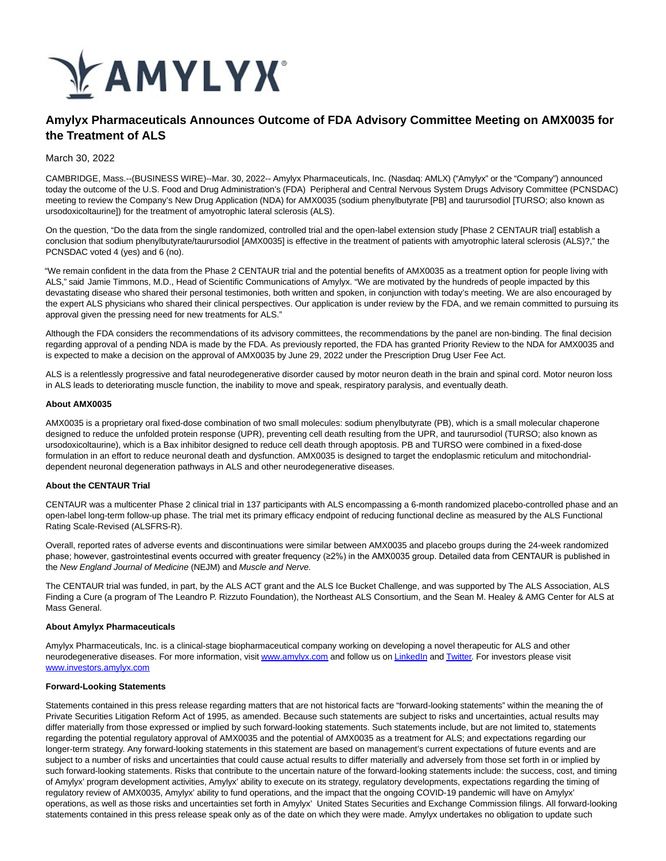

# **Amylyx Pharmaceuticals Announces Outcome of FDA Advisory Committee Meeting on AMX0035 for the Treatment of ALS**

March 30, 2022

CAMBRIDGE, Mass.--(BUSINESS WIRE)--Mar. 30, 2022-- Amylyx Pharmaceuticals, Inc. (Nasdaq: AMLX) ("Amylyx" or the "Company") announced today the outcome of the U.S. Food and Drug Administration's (FDA) Peripheral and Central Nervous System Drugs Advisory Committee (PCNSDAC) meeting to review the Company's New Drug Application (NDA) for AMX0035 (sodium phenylbutyrate [PB] and taurursodiol [TURSO; also known as ursodoxicoltaurine]) for the treatment of amyotrophic lateral sclerosis (ALS).

On the question, "Do the data from the single randomized, controlled trial and the open-label extension study [Phase 2 CENTAUR trial] establish a conclusion that sodium phenylbutyrate/taurursodiol [AMX0035] is effective in the treatment of patients with amyotrophic lateral sclerosis (ALS)?," the PCNSDAC voted 4 (yes) and 6 (no).

"We remain confident in the data from the Phase 2 CENTAUR trial and the potential benefits of AMX0035 as a treatment option for people living with ALS," said Jamie Timmons, M.D., Head of Scientific Communications of Amylyx. "We are motivated by the hundreds of people impacted by this devastating disease who shared their personal testimonies, both written and spoken, in conjunction with today's meeting. We are also encouraged by the expert ALS physicians who shared their clinical perspectives. Our application is under review by the FDA, and we remain committed to pursuing its approval given the pressing need for new treatments for ALS."

Although the FDA considers the recommendations of its advisory committees, the recommendations by the panel are non-binding. The final decision regarding approval of a pending NDA is made by the FDA. As previously reported, the FDA has granted Priority Review to the NDA for AMX0035 and is expected to make a decision on the approval of AMX0035 by June 29, 2022 under the Prescription Drug User Fee Act.

ALS is a relentlessly progressive and fatal neurodegenerative disorder caused by motor neuron death in the brain and spinal cord. Motor neuron loss in ALS leads to deteriorating muscle function, the inability to move and speak, respiratory paralysis, and eventually death.

#### **About AMX0035**

AMX0035 is a proprietary oral fixed-dose combination of two small molecules: sodium phenylbutyrate (PB), which is a small molecular chaperone designed to reduce the unfolded protein response (UPR), preventing cell death resulting from the UPR, and taurursodiol (TURSO; also known as ursodoxicoltaurine), which is a Bax inhibitor designed to reduce cell death through apoptosis. PB and TURSO were combined in a fixed-dose formulation in an effort to reduce neuronal death and dysfunction. AMX0035 is designed to target the endoplasmic reticulum and mitochondrialdependent neuronal degeneration pathways in ALS and other neurodegenerative diseases.

## **About the CENTAUR Trial**

CENTAUR was a multicenter Phase 2 clinical trial in 137 participants with ALS encompassing a 6-month randomized placebo-controlled phase and an open-label long-term follow-up phase. The trial met its primary efficacy endpoint of reducing functional decline as measured by the ALS Functional Rating Scale-Revised (ALSFRS-R).

Overall, reported rates of adverse events and discontinuations were similar between AMX0035 and placebo groups during the 24-week randomized phase; however, gastrointestinal events occurred with greater frequency (≥2%) in the AMX0035 group. Detailed data from CENTAUR is published in the New England Journal of Medicine (NEJM) and Muscle and Nerve.

The CENTAUR trial was funded, in part, by the ALS ACT grant and the ALS Ice Bucket Challenge, and was supported by The ALS Association, ALS Finding a Cure (a program of The Leandro P. Rizzuto Foundation), the Northeast ALS Consortium, and the Sean M. Healey & AMG Center for ALS at Mass General.

#### **About Amylyx Pharmaceuticals**

Amylyx Pharmaceuticals, Inc. is a clinical-stage biopharmaceutical company working on developing a novel therapeutic for ALS and other neurodegenerative diseases. For more information, visi[t www.amylyx.com a](https://cts.businesswire.com/ct/CT?id=smartlink&url=https%3A%2F%2Fwww.amylyx.com%2F&esheet=52635039&newsitemid=20220330005921&lan=en-US&anchor=www.amylyx.com&index=1&md5=6c46a7a779b01a3fd260a2e3542a4c2d)nd follow us on [LinkedIn a](https://cts.businesswire.com/ct/CT?id=smartlink&url=https%3A%2F%2Fwww.linkedin.com%2Fcompany%2Famylyx&esheet=52635039&newsitemid=20220330005921&lan=en-US&anchor=LinkedIn&index=2&md5=22e9c9f038788e267ff4f95b1aaadbc2)n[d Twitter.](https://cts.businesswire.com/ct/CT?id=smartlink&url=https%3A%2F%2Ftwitter.com%2FAmylyxPharma&esheet=52635039&newsitemid=20220330005921&lan=en-US&anchor=Twitter&index=3&md5=33c59351c2e079c73fb65e0a248b8535) For investors please visit [www.investors.amylyx.com](https://cts.businesswire.com/ct/CT?id=smartlink&url=https%3A%2F%2Finvestors.amylyx.com%2F&esheet=52635039&newsitemid=20220330005921&lan=en-US&anchor=www.investors.amylyx.com&index=4&md5=3d10e42d258ca7e2ccd6958f29c54549)

### **Forward-Looking Statements**

Statements contained in this press release regarding matters that are not historical facts are "forward-looking statements" within the meaning the of Private Securities Litigation Reform Act of 1995, as amended. Because such statements are subject to risks and uncertainties, actual results may differ materially from those expressed or implied by such forward-looking statements. Such statements include, but are not limited to, statements regarding the potential regulatory approval of AMX0035 and the potential of AMX0035 as a treatment for ALS; and expectations regarding our longer-term strategy. Any forward-looking statements in this statement are based on management's current expectations of future events and are subject to a number of risks and uncertainties that could cause actual results to differ materially and adversely from those set forth in or implied by such forward-looking statements. Risks that contribute to the uncertain nature of the forward-looking statements include: the success, cost, and timing of Amylyx' program development activities, Amylyx' ability to execute on its strategy, regulatory developments, expectations regarding the timing of regulatory review of AMX0035, Amylyx' ability to fund operations, and the impact that the ongoing COVID-19 pandemic will have on Amylyx' operations, as well as those risks and uncertainties set forth in Amylyx' United States Securities and Exchange Commission filings. All forward-looking statements contained in this press release speak only as of the date on which they were made. Amylyx undertakes no obligation to update such